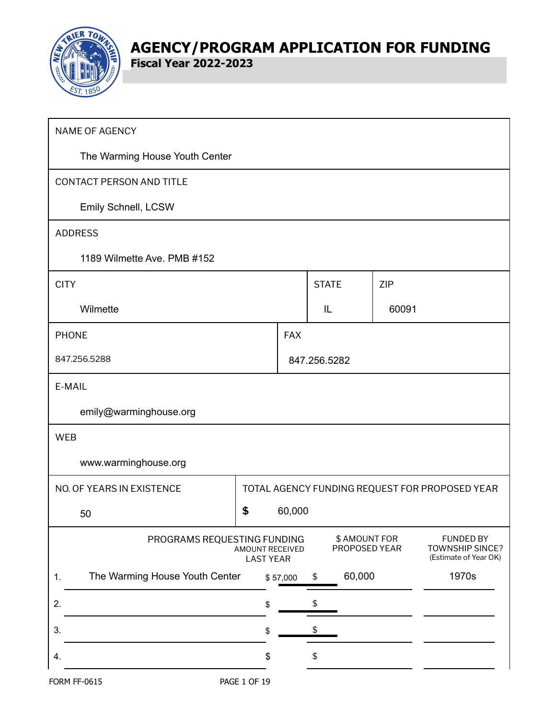

**Fiscal Year 2022-2023**

| <b>NAME OF AGENCY</b>                                                                                                                                                       |              |            |              |            |                                                |  |
|-----------------------------------------------------------------------------------------------------------------------------------------------------------------------------|--------------|------------|--------------|------------|------------------------------------------------|--|
| The Warming House Youth Center                                                                                                                                              |              |            |              |            |                                                |  |
| CONTACT PERSON AND TITLE                                                                                                                                                    |              |            |              |            |                                                |  |
| Emily Schnell, LCSW                                                                                                                                                         |              |            |              |            |                                                |  |
| <b>ADDRESS</b>                                                                                                                                                              |              |            |              |            |                                                |  |
| 1189 Wilmette Ave. PMB #152                                                                                                                                                 |              |            |              |            |                                                |  |
| <b>CITY</b>                                                                                                                                                                 |              |            | <b>STATE</b> | <b>ZIP</b> |                                                |  |
| Wilmette                                                                                                                                                                    |              |            | IL           | 60091      |                                                |  |
| <b>PHONE</b>                                                                                                                                                                |              | <b>FAX</b> |              |            |                                                |  |
| 847.256.5288                                                                                                                                                                |              |            | 847.256.5282 |            |                                                |  |
| E-MAIL                                                                                                                                                                      |              |            |              |            |                                                |  |
| emily@warminghouse.org                                                                                                                                                      |              |            |              |            |                                                |  |
| <b>WEB</b>                                                                                                                                                                  |              |            |              |            |                                                |  |
| www.warminghouse.org                                                                                                                                                        |              |            |              |            |                                                |  |
| NO. OF YEARS IN EXISTENCE                                                                                                                                                   |              |            |              |            | TOTAL AGENCY FUNDING REQUEST FOR PROPOSED YEAR |  |
| 50                                                                                                                                                                          | \$           | 60,000     |              |            |                                                |  |
| \$ AMOUNT FOR<br><b>FUNDED BY</b><br>PROGRAMS REQUESTING FUNDING<br>PROPOSED YEAR<br><b>TOWNSHIP SINCE?</b><br>AMOUNT RECEIVED<br>(Estimate of Year OK)<br><b>LAST YEAR</b> |              |            |              |            |                                                |  |
| The Warming House Youth Center<br>1.                                                                                                                                        |              | \$57,000   | 60,000<br>\$ |            | 1970s                                          |  |
| 2.                                                                                                                                                                          | \$           |            | \$           |            |                                                |  |
| 3.                                                                                                                                                                          | \$           |            | \$           |            |                                                |  |
| 4.                                                                                                                                                                          | \$           |            | \$           |            |                                                |  |
| <b>FORM FF-0615</b>                                                                                                                                                         | PAGE 1 OF 19 |            |              |            |                                                |  |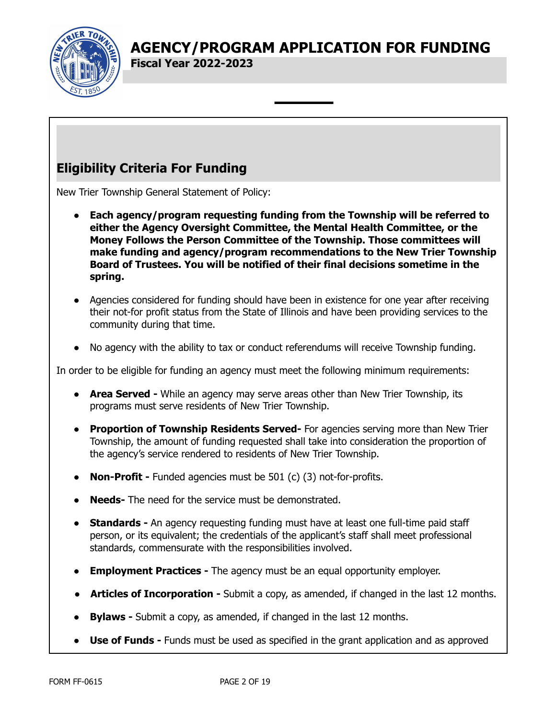

**Fiscal Year 2022-2023**

# **Eligibility Criteria For Funding**

New Trier Township General Statement of Policy:

- **● Each agency/program requesting funding from the Township will be referred to either the Agency Oversight Committee, the Mental Health Committee, or the Money Follows the Person Committee of the Township. Those committees will make funding and agency/program recommendations to the New Trier Township Board of Trustees. You will be notified of their final decisions sometime in the spring.**
- Agencies considered for funding should have been in existence for one year after receiving their not-for profit status from the State of Illinois and have been providing services to the community during that time.
- No agency with the ability to tax or conduct referendums will receive Township funding.

In order to be eligible for funding an agency must meet the following minimum requirements:

- **Area Served -** While an agency may serve areas other than New Trier Township, its programs must serve residents of New Trier Township.
- **Proportion of Township Residents Served-** For agencies serving more than New Trier Township, the amount of funding requested shall take into consideration the proportion of the agency's service rendered to residents of New Trier Township.
- **Non-Profit** Funded agencies must be 501 (c) (3) not-for-profits.
- **Needs-** The need for the service must be demonstrated.
- **Standards -** An agency requesting funding must have at least one full-time paid staff person, or its equivalent; the credentials of the applicant's staff shall meet professional standards, commensurate with the responsibilities involved.
- **Employment Practices -** The agency must be an equal opportunity employer.
- **Articles of Incorporation -** Submit a copy, as amended, if changed in the last 12 months.
- **Bylaws** Submit a copy, as amended, if changed in the last 12 months.
- **Use of Funds -** Funds must be used as specified in the grant application and as approved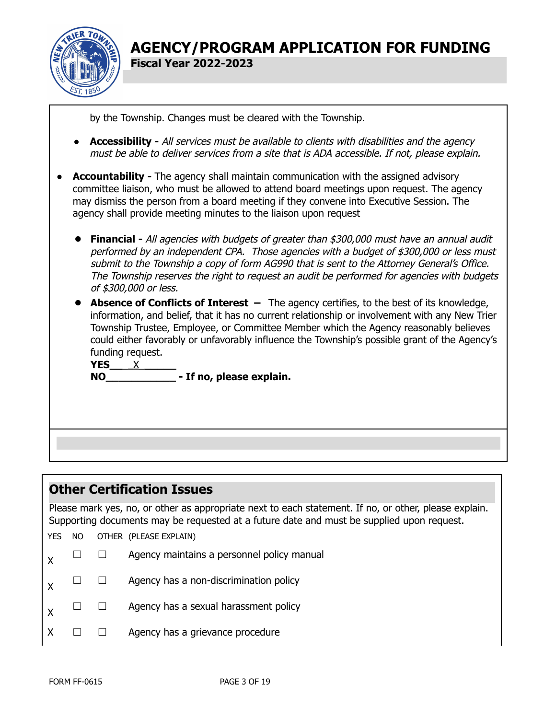

by the Township. Changes must be cleared with the Township.

- *●* **Accessibility -** All services must be available to clients with disabilities and the agency must be able to deliver services from <sup>a</sup> site that is ADA accessible. If not, please explain.
- **Accountability** The agency shall maintain communication with the assigned advisory committee liaison, who must be allowed to attend board meetings upon request. The agency may dismiss the person from a board meeting if they convene into Executive Session. The agency shall provide meeting minutes to the liaison upon request
	- **Financial -** All agencies with budgets of greater than \$300,000 must have an annual audit performed by an independent CPA. Those agencies with <sup>a</sup> budget of \$300,000 or less must submit to the Township <sup>a</sup> copy of form AG990 that is sent to the Attorney General's Office. The Township reserves the right to request an audit be performed for agencies with budgets of \$300,000 or less.
	- **Absence of Conflicts of Interest –** The agency certifies, to the best of its knowledge, information, and belief, that it has no current relationship or involvement with any New Trier Township Trustee, Employee, or Committee Member which the Agency reasonably believes could either favorably or unfavorably influence the Township's possible grant of the Agency's funding request.

**YES\_\_**\_\_X\_**\_\_\_\_\_ NO\_\_\_\_\_\_\_\_\_\_\_ - If no, please explain.**

### **Other Certification Issues**

Please mark yes, no, or other as appropriate next to each statement. If no, or other, please explain. Supporting documents may be requested at a future date and must be supplied upon request.

YES NO OTHER (PLEASE EXPLAIN)

- $\mathsf{X}$   $\Box$   $\Box$  Agency maintains a personnel policy manual
- $\mathsf{X} \quad \Box \quad \Box$  Agency has a non-discrimination policy
- $\mathsf{X} \quad \Box \quad \Box$  Agency has a sexual harassment policy
- $X \square \square$  Agency has a grievance procedure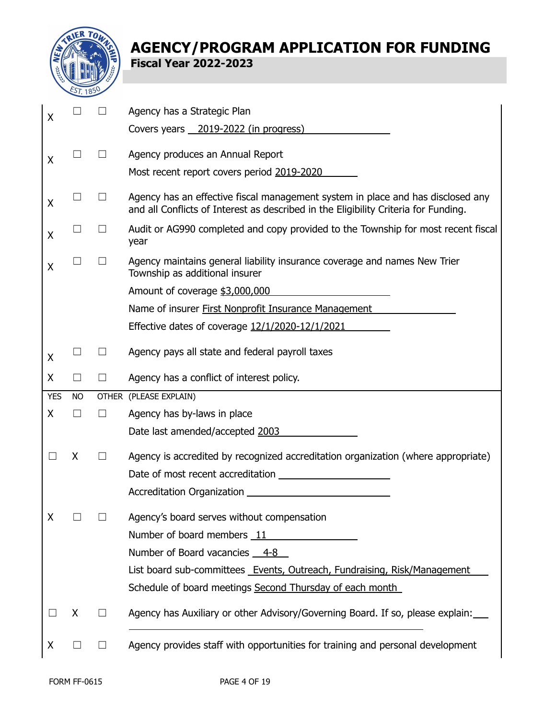

| X          |              |                   | Agency has a Strategic Plan                                                                                                                                            |
|------------|--------------|-------------------|------------------------------------------------------------------------------------------------------------------------------------------------------------------------|
|            |              |                   | Covers years 2019-2022 (in progress)                                                                                                                                   |
| X          |              | $\Box$            | Agency produces an Annual Report                                                                                                                                       |
|            |              |                   | Most recent report covers period 2019-2020                                                                                                                             |
| X          |              | $\Box$            | Agency has an effective fiscal management system in place and has disclosed any<br>and all Conflicts of Interest as described in the Eligibility Criteria for Funding. |
| X          | $\mathbf{I}$ | $\vert \ \ \vert$ | Audit or AG990 completed and copy provided to the Township for most recent fiscal<br>year                                                                              |
| X          |              | $\mathbf{I}$      | Agency maintains general liability insurance coverage and names New Trier<br>Township as additional insurer                                                            |
|            |              |                   | Amount of coverage \$3,000,000                                                                                                                                         |
|            |              |                   | Name of insurer First Nonprofit Insurance Management                                                                                                                   |
|            |              |                   | Effective dates of coverage 12/1/2020-12/1/2021                                                                                                                        |
| Χ          |              | $\Box$            | Agency pays all state and federal payroll taxes                                                                                                                        |
| X          | $\Box$       | $\Box$            | Agency has a conflict of interest policy.                                                                                                                              |
|            |              |                   |                                                                                                                                                                        |
| <b>YES</b> | <b>NO</b>    |                   | OTHER (PLEASE EXPLAIN)                                                                                                                                                 |
| X          | П            | $\Box$            | Agency has by-laws in place                                                                                                                                            |
|            |              |                   | Date last amended/accepted 2003                                                                                                                                        |
|            | X            | $\Box$            | Agency is accredited by recognized accreditation organization (where appropriate)                                                                                      |
|            |              |                   |                                                                                                                                                                        |
|            |              |                   |                                                                                                                                                                        |
| Χ          |              |                   | Agency's board serves without compensation                                                                                                                             |
|            |              |                   | Number of board members 11                                                                                                                                             |
|            |              |                   | Number of Board vacancies 4-8                                                                                                                                          |
|            |              |                   | List board sub-committees Events, Outreach, Fundraising, Risk/Management                                                                                               |
|            |              |                   | Schedule of board meetings Second Thursday of each month                                                                                                               |
|            | X            | $\Box$            | Agency has Auxiliary or other Advisory/Governing Board. If so, please explain:                                                                                         |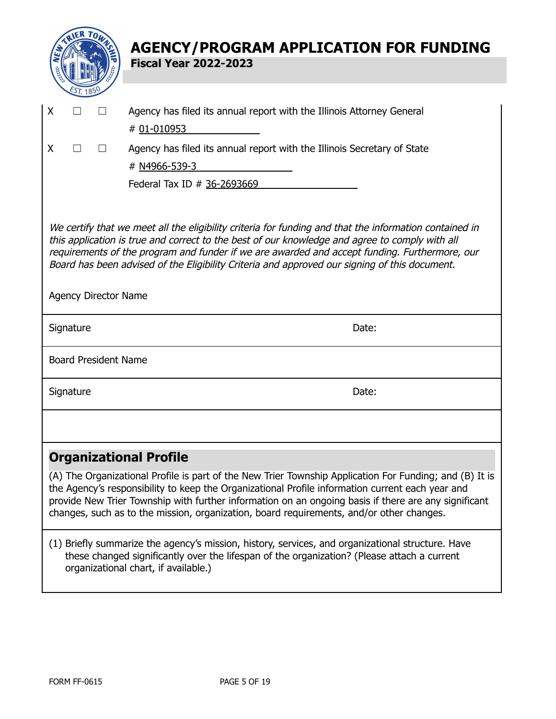|                                                                                                                                                                                                                                                                                                                                                                                                            |           |                             | <b>AGENCY/PROGRAM APPLICATION FOR FUNDING</b>                                                                                                                                                                                                                                                                                                                                                                   |  |  |  |
|------------------------------------------------------------------------------------------------------------------------------------------------------------------------------------------------------------------------------------------------------------------------------------------------------------------------------------------------------------------------------------------------------------|-----------|-----------------------------|-----------------------------------------------------------------------------------------------------------------------------------------------------------------------------------------------------------------------------------------------------------------------------------------------------------------------------------------------------------------------------------------------------------------|--|--|--|
|                                                                                                                                                                                                                                                                                                                                                                                                            |           |                             | <b>Fiscal Year 2022-2023</b>                                                                                                                                                                                                                                                                                                                                                                                    |  |  |  |
|                                                                                                                                                                                                                                                                                                                                                                                                            |           |                             |                                                                                                                                                                                                                                                                                                                                                                                                                 |  |  |  |
| X                                                                                                                                                                                                                                                                                                                                                                                                          |           |                             | Agency has filed its annual report with the Illinois Attorney General                                                                                                                                                                                                                                                                                                                                           |  |  |  |
|                                                                                                                                                                                                                                                                                                                                                                                                            |           |                             | # 01-010953                                                                                                                                                                                                                                                                                                                                                                                                     |  |  |  |
| X                                                                                                                                                                                                                                                                                                                                                                                                          | П         | $\Box$                      | Agency has filed its annual report with the Illinois Secretary of State                                                                                                                                                                                                                                                                                                                                         |  |  |  |
|                                                                                                                                                                                                                                                                                                                                                                                                            |           |                             | # N4966-539-3                                                                                                                                                                                                                                                                                                                                                                                                   |  |  |  |
|                                                                                                                                                                                                                                                                                                                                                                                                            |           |                             | Federal Tax ID # 36-2693669                                                                                                                                                                                                                                                                                                                                                                                     |  |  |  |
|                                                                                                                                                                                                                                                                                                                                                                                                            |           |                             |                                                                                                                                                                                                                                                                                                                                                                                                                 |  |  |  |
| We certify that we meet all the eligibility criteria for funding and that the information contained in<br>this application is true and correct to the best of our knowledge and agree to comply with all<br>requirements of the program and funder if we are awarded and accept funding. Furthermore, our<br>Board has been advised of the Eligibility Criteria and approved our signing of this document. |           |                             |                                                                                                                                                                                                                                                                                                                                                                                                                 |  |  |  |
|                                                                                                                                                                                                                                                                                                                                                                                                            |           | <b>Agency Director Name</b> |                                                                                                                                                                                                                                                                                                                                                                                                                 |  |  |  |
|                                                                                                                                                                                                                                                                                                                                                                                                            | Signature |                             | Date:                                                                                                                                                                                                                                                                                                                                                                                                           |  |  |  |
|                                                                                                                                                                                                                                                                                                                                                                                                            |           | <b>Board President Name</b> |                                                                                                                                                                                                                                                                                                                                                                                                                 |  |  |  |
|                                                                                                                                                                                                                                                                                                                                                                                                            | Signature |                             | Date:                                                                                                                                                                                                                                                                                                                                                                                                           |  |  |  |
|                                                                                                                                                                                                                                                                                                                                                                                                            |           |                             |                                                                                                                                                                                                                                                                                                                                                                                                                 |  |  |  |
|                                                                                                                                                                                                                                                                                                                                                                                                            |           |                             | <b>Organizational Profile</b>                                                                                                                                                                                                                                                                                                                                                                                   |  |  |  |
|                                                                                                                                                                                                                                                                                                                                                                                                            |           |                             | (A) The Organizational Profile is part of the New Trier Township Application For Funding; and (B) It is<br>the Agency's responsibility to keep the Organizational Profile information current each year and<br>provide New Trier Township with further information on an ongoing basis if there are any significant<br>changes, such as to the mission, organization, board requirements, and/or other changes. |  |  |  |
|                                                                                                                                                                                                                                                                                                                                                                                                            |           |                             | (1) Briefly summarize the agency's mission, history, services, and organizational structure. Have<br>these changed significantly over the lifespan of the organization? (Please attach a current<br>organizational chart, if available.)                                                                                                                                                                        |  |  |  |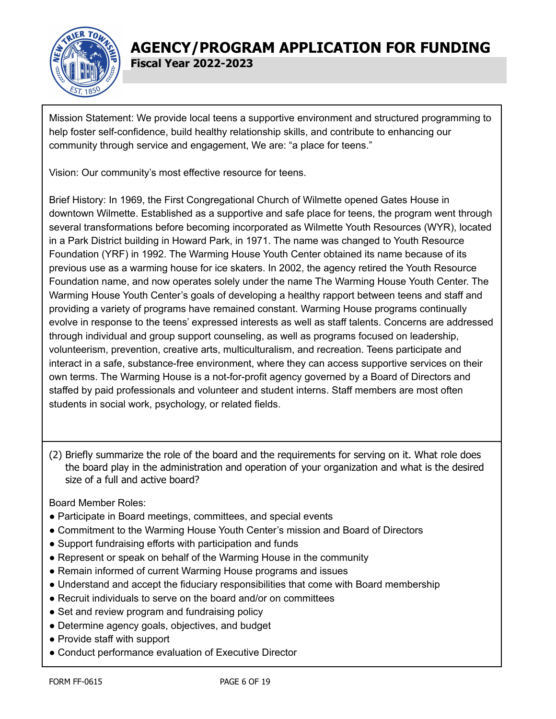

Mission Statement: We provide local teens a supportive environment and structured programming to help foster self-confidence, build healthy relationship skills, and contribute to enhancing our community through service and engagement, We are: "a place for teens."

Vision: Our community's most effective resource for teens.

Brief History: In 1969, the First Congregational Church of Wilmette opened Gates House in downtown Wilmette. Established as a supportive and safe place for teens, the program went through several transformations before becoming incorporated as Wilmette Youth Resources (WYR), located in a Park District building in Howard Park, in 1971. The name was changed to Youth Resource Foundation (YRF) in 1992. The Warming House Youth Center obtained its name because of its previous use as a warming house for ice skaters. In 2002, the agency retired the Youth Resource Foundation name, and now operates solely under the name The Warming House Youth Center. The Warming House Youth Center's goals of developing a healthy rapport between teens and staff and providing a variety of programs have remained constant. Warming House programs continually evolve in response to the teens' expressed interests as well as staff talents. Concerns are addressed through individual and group support counseling, as well as programs focused on leadership, volunteerism, prevention, creative arts, multiculturalism, and recreation. Teens participate and interact in a safe, substance-free environment, where they can access supportive services on their own terms. The Warming House is a not-for-profit agency governed by a Board of Directors and staffed by paid professionals and volunteer and student interns. Staff members are most often students in social work, psychology, or related fields.

(2) Briefly summarize the role of the board and the requirements for serving on it. What role does the board play in the administration and operation of your organization and what is the desired size of a full and active board?

Board Member Roles:

- Participate in Board meetings, committees, and special events
- Commitment to the Warming House Youth Center's mission and Board of Directors
- Support fundraising efforts with participation and funds
- Represent or speak on behalf of the Warming House in the community
- Remain informed of current Warming House programs and issues
- Understand and accept the fiduciary responsibilities that come with Board membership
- Recruit individuals to serve on the board and/or on committees
- Set and review program and fundraising policy
- Determine agency goals, objectives, and budget
- Provide staff with support
- Conduct performance evaluation of Executive Director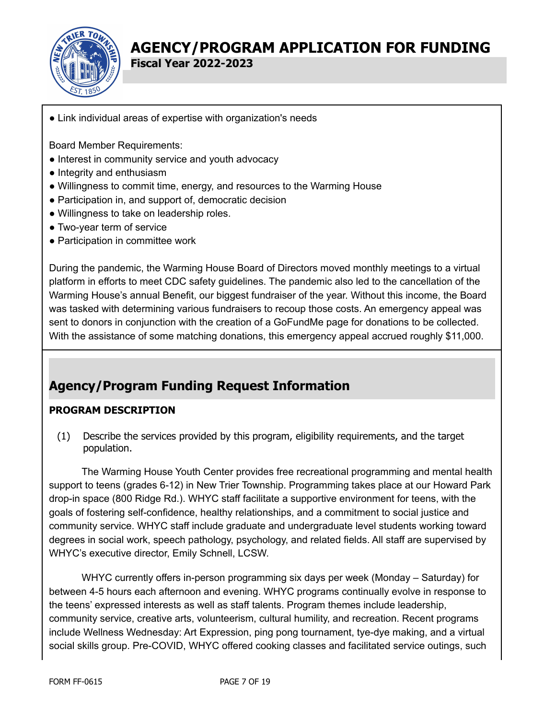

**Fiscal Year 2022-2023**

● Link individual areas of expertise with organization's needs

Board Member Requirements:

- Interest in community service and youth advocacy
- Integrity and enthusiasm
- Willingness to commit time, energy, and resources to the Warming House
- Participation in, and support of, democratic decision
- Willingness to take on leadership roles.
- Two-year term of service
- Participation in committee work

During the pandemic, the Warming House Board of Directors moved monthly meetings to a virtual platform in efforts to meet CDC safety guidelines. The pandemic also led to the cancellation of the Warming House's annual Benefit, our biggest fundraiser of the year. Without this income, the Board was tasked with determining various fundraisers to recoup those costs. An emergency appeal was sent to donors in conjunction with the creation of a GoFundMe page for donations to be collected. With the assistance of some matching donations, this emergency appeal accrued roughly \$11,000.

# **Agency/Program Funding Request Information**

### **PROGRAM DESCRIPTION**

(1) Describe the services provided by this program, eligibility requirements, and the target population.

The Warming House Youth Center provides free recreational programming and mental health support to teens (grades 6-12) in New Trier Township. Programming takes place at our Howard Park drop-in space (800 Ridge Rd.). WHYC staff facilitate a supportive environment for teens, with the goals of fostering self-confidence, healthy relationships, and a commitment to social justice and community service. WHYC staff include graduate and undergraduate level students working toward degrees in social work, speech pathology, psychology, and related fields. All staff are supervised by WHYC's executive director, Emily Schnell, LCSW.

WHYC currently offers in-person programming six days per week (Monday – Saturday) for between 4-5 hours each afternoon and evening. WHYC programs continually evolve in response to the teens' expressed interests as well as staff talents. Program themes include leadership, community service, creative arts, volunteerism, cultural humility, and recreation. Recent programs include Wellness Wednesday: Art Expression, ping pong tournament, tye-dye making, and a virtual social skills group. Pre-COVID, WHYC offered cooking classes and facilitated service outings, such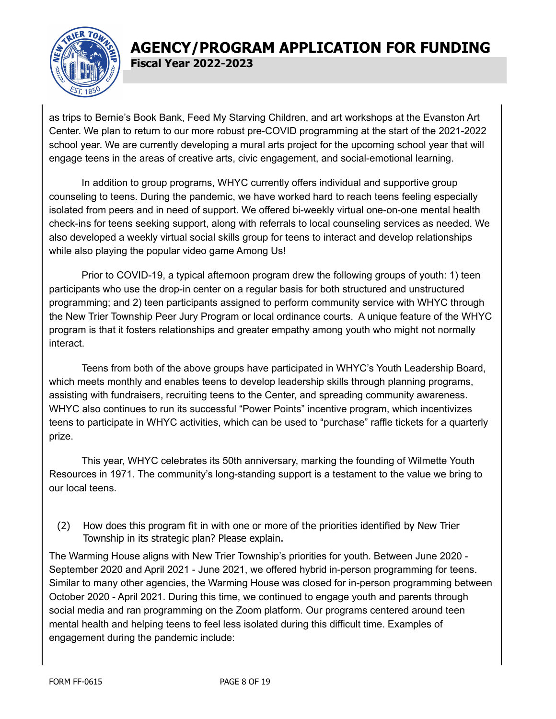

as trips to Bernie's Book Bank, Feed My Starving Children, and art workshops at the Evanston Art Center. We plan to return to our more robust pre-COVID programming at the start of the 2021-2022 school year. We are currently developing a mural arts project for the upcoming school year that will engage teens in the areas of creative arts, civic engagement, and social-emotional learning.

In addition to group programs, WHYC currently offers individual and supportive group counseling to teens. During the pandemic, we have worked hard to reach teens feeling especially isolated from peers and in need of support. We offered bi-weekly virtual one-on-one mental health check-ins for teens seeking support, along with referrals to local counseling services as needed. We also developed a weekly virtual social skills group for teens to interact and develop relationships while also playing the popular video game Among Us!

Prior to COVID-19, a typical afternoon program drew the following groups of youth: 1) teen participants who use the drop-in center on a regular basis for both structured and unstructured programming; and 2) teen participants assigned to perform community service with WHYC through the New Trier Township Peer Jury Program or local ordinance courts. A unique feature of the WHYC program is that it fosters relationships and greater empathy among youth who might not normally interact.

Teens from both of the above groups have participated in WHYC's Youth Leadership Board, which meets monthly and enables teens to develop leadership skills through planning programs, assisting with fundraisers, recruiting teens to the Center, and spreading community awareness. WHYC also continues to run its successful "Power Points" incentive program, which incentivizes teens to participate in WHYC activities, which can be used to "purchase" raffle tickets for a quarterly prize.

This year, WHYC celebrates its 50th anniversary, marking the founding of Wilmette Youth Resources in 1971. The community's long-standing support is a testament to the value we bring to our local teens.

(2) How does this program fit in with one or more of the priorities identified by New Trier Township in its strategic plan? Please explain.

The Warming House aligns with New Trier Township's priorities for youth. Between June 2020 - September 2020 and April 2021 - June 2021, we offered hybrid in-person programming for teens. Similar to many other agencies, the Warming House was closed for in-person programming between October 2020 - April 2021. During this time, we continued to engage youth and parents through social media and ran programming on the Zoom platform. Our programs centered around teen mental health and helping teens to feel less isolated during this difficult time. Examples of engagement during the pandemic include: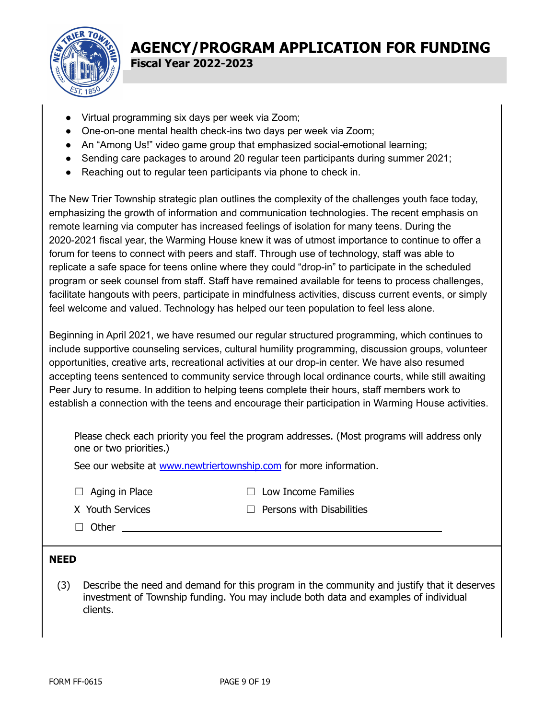

- Virtual programming six days per week via Zoom;
- One-on-one mental health check-ins two days per week via Zoom;
- An "Among Us!" video game group that emphasized social-emotional learning;
- Sending care packages to around 20 regular teen participants during summer 2021;
- Reaching out to regular teen participants via phone to check in.

The New Trier Township strategic plan outlines the complexity of the challenges youth face today, emphasizing the growth of information and communication technologies. The recent emphasis on remote learning via computer has increased feelings of isolation for many teens. During the 2020-2021 fiscal year, the Warming House knew it was of utmost importance to continue to offer a forum for teens to connect with peers and staff. Through use of technology, staff was able to replicate a safe space for teens online where they could "drop-in" to participate in the scheduled program or seek counsel from staff. Staff have remained available for teens to process challenges, facilitate hangouts with peers, participate in mindfulness activities, discuss current events, or simply feel welcome and valued. Technology has helped our teen population to feel less alone.

Beginning in April 2021, we have resumed our regular structured programming, which continues to include supportive counseling services, cultural humility programming, discussion groups, volunteer opportunities, creative arts, recreational activities at our drop-in center. We have also resumed accepting teens sentenced to community service through local ordinance courts, while still awaiting Peer Jury to resume. In addition to helping teens complete their hours, staff members work to establish a connection with the teens and encourage their participation in Warming House activities.

Please check each priority you feel the program addresses. (Most programs will address only one or two priorities.)

See our website at [www.newtriertownship.com](http://www.newtriertownship.com) for more information.

☐ Aging in Place ☐ Low Income Families

| X Youth Services |
|------------------|
|                  |

- X Youth Services ☐ Persons with Disabilities
- □ Other \_

### **NEED**

(3) Describe the need and demand for this program in the community and justify that it deserves investment of Township funding. You may include both data and examples of individual clients.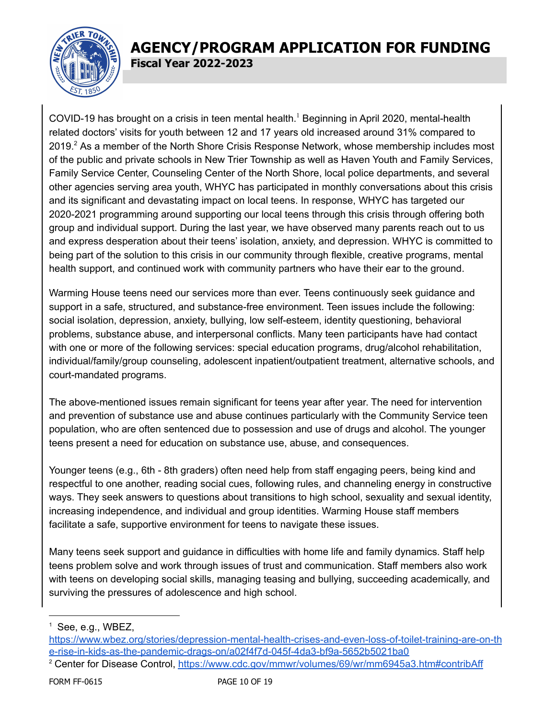

COVID-19 has brought on a crisis in teen mental health.<sup>1</sup> Beginning in April 2020, mental-health related doctors' visits for youth between 12 and 17 years old increased around 31% compared to  $2019.<sup>2</sup>$  As a member of the North Shore Crisis Response Network, whose membership includes most of the public and private schools in New Trier Township as well as Haven Youth and Family Services, Family Service Center, Counseling Center of the North Shore, local police departments, and several other agencies serving area youth, WHYC has participated in monthly conversations about this crisis and its significant and devastating impact on local teens. In response, WHYC has targeted our 2020-2021 programming around supporting our local teens through this crisis through offering both group and individual support. During the last year, we have observed many parents reach out to us and express desperation about their teens' isolation, anxiety, and depression. WHYC is committed to being part of the solution to this crisis in our community through flexible, creative programs, mental health support, and continued work with community partners who have their ear to the ground.

Warming House teens need our services more than ever. Teens continuously seek guidance and support in a safe, structured, and substance-free environment. Teen issues include the following: social isolation, depression, anxiety, bullying, low self-esteem, identity questioning, behavioral problems, substance abuse, and interpersonal conflicts. Many teen participants have had contact with one or more of the following services: special education programs, drug/alcohol rehabilitation, individual/family/group counseling, adolescent inpatient/outpatient treatment, alternative schools, and court-mandated programs.

The above-mentioned issues remain significant for teens year after year. The need for intervention and prevention of substance use and abuse continues particularly with the Community Service teen population, who are often sentenced due to possession and use of drugs and alcohol. The younger teens present a need for education on substance use, abuse, and consequences.

Younger teens (e.g., 6th - 8th graders) often need help from staff engaging peers, being kind and respectful to one another, reading social cues, following rules, and channeling energy in constructive ways. They seek answers to questions about transitions to high school, sexuality and sexual identity, increasing independence, and individual and group identities. Warming House staff members facilitate a safe, supportive environment for teens to navigate these issues.

Many teens seek support and guidance in difficulties with home life and family dynamics. Staff help teens problem solve and work through issues of trust and communication. Staff members also work with teens on developing social skills, managing teasing and bullying, succeeding academically, and surviving the pressures of adolescence and high school.

 $<sup>1</sup>$  See[,](https://www.wbez.org/stories/depression-mental-health-crises-and-even-loss-of-toilet-training-are-on-the-rise-in-kids-as-the-pandemic-drags-on/a02f4f7d-045f-4da3-bf9a-5652b5021ba0) e.g., WBEZ,</sup>

[https://www.wbez.org/stories/depression-mental-health-crises-and-even-loss-of-toilet-training-are-on-th](https://www.wbez.org/stories/depression-mental-health-crises-and-even-loss-of-toilet-training-are-on-the-rise-in-kids-as-the-pandemic-drags-on/a02f4f7d-045f-4da3-bf9a-5652b5021ba0) [e-rise-in-kids-as-the-pandemic-drags-on/a02f4f7d-045f-4da3-bf9a-5652b5021ba0](https://www.wbez.org/stories/depression-mental-health-crises-and-even-loss-of-toilet-training-are-on-the-rise-in-kids-as-the-pandemic-drags-on/a02f4f7d-045f-4da3-bf9a-5652b5021ba0)

<sup>&</sup>lt;sup>2</sup> Center for Disease Control, <https://www.cdc.gov/mmwr/volumes/69/wr/mm6945a3.htm#contribAff>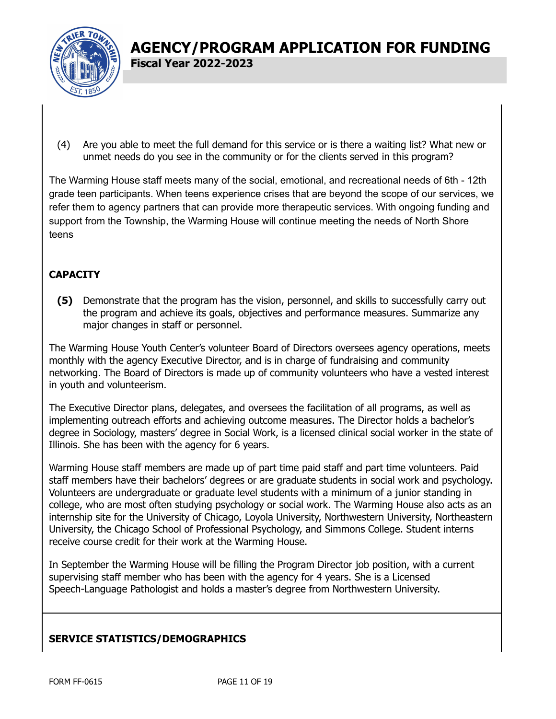

- (4) Are you able to meet the full demand for this service or is there a waiting list? What new or
- unmet needs do you see in the community or for the clients served in this program?

The Warming House staff meets many of the social, emotional, and recreational needs of 6th - 12th grade teen participants. When teens experience crises that are beyond the scope of our services, we refer them to agency partners that can provide more therapeutic services. With ongoing funding and support from the Township, the Warming House will continue meeting the needs of North Shore teens

### **CAPACITY**

**(5)** Demonstrate that the program has the vision, personnel, and skills to successfully carry out the program and achieve its goals, objectives and performance measures. Summarize any major changes in staff or personnel.

The Warming House Youth Center's volunteer Board of Directors oversees agency operations, meets monthly with the agency Executive Director, and is in charge of fundraising and community networking. The Board of Directors is made up of community volunteers who have a vested interest in youth and volunteerism.

The Executive Director plans, delegates, and oversees the facilitation of all programs, as well as implementing outreach efforts and achieving outcome measures. The Director holds a bachelor's degree in Sociology, masters' degree in Social Work, is a licensed clinical social worker in the state of Illinois. She has been with the agency for 6 years.

Warming House staff members are made up of part time paid staff and part time volunteers. Paid staff members have their bachelors' degrees or are graduate students in social work and psychology. Volunteers are undergraduate or graduate level students with a minimum of a junior standing in college, who are most often studying psychology or social work. The Warming House also acts as an internship site for the University of Chicago, Loyola University, Northwestern University, Northeastern University, the Chicago School of Professional Psychology, and Simmons College. Student interns receive course credit for their work at the Warming House.

In September the Warming House will be filling the Program Director job position, with a current supervising staff member who has been with the agency for 4 years. She is a Licensed Speech-Language Pathologist and holds a master's degree from Northwestern University.

### **SERVICE STATISTICS/DEMOGRAPHICS**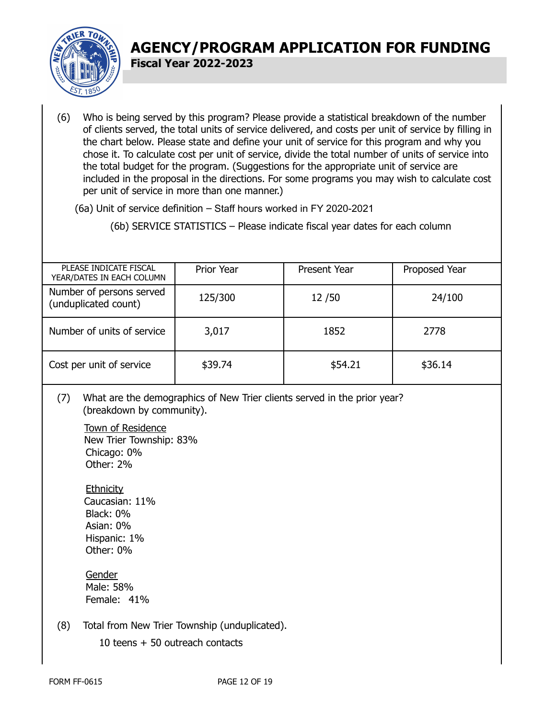

(6) Who is being served by this program? Please provide a statistical breakdown of the number of clients served, the total units of service delivered, and costs per unit of service by filling in the chart below. Please state and define your unit of service for this program and why you chose it. To calculate cost per unit of service, divide the total number of units of service into the total budget for the program. (Suggestions for the appropriate unit of service are included in the proposal in the directions. For some programs you may wish to calculate cost per unit of service in more than one manner.)

(6a) Unit of service definition – Staff hours worked in FY 2020-2021

(6b) SERVICE STATISTICS – Please indicate fiscal year dates for each column

| PLEASE INDICATE FISCAL<br>YEAR/DATES IN EACH COLUMN | Prior Year | <b>Present Year</b> | Proposed Year |
|-----------------------------------------------------|------------|---------------------|---------------|
| Number of persons served<br>(unduplicated count)    | 125/300    | 12/50               | 24/100        |
| Number of units of service                          | 3,017      | 1852                | 2778          |
| Cost per unit of service                            | \$39.74    | \$54.21             | \$36.14       |

(7) What are the demographics of New Trier clients served in the prior year? (breakdown by community).

Town of Residence New Trier Township: 83% Chicago: 0% Other: 2%

**Ethnicity** Caucasian: 11% Black: 0% Asian: 0% Hispanic: 1% Other: 0%

Gender Male: 58% Female: 41%

(8) Total from New Trier Township (unduplicated).

10 teens + 50 outreach contacts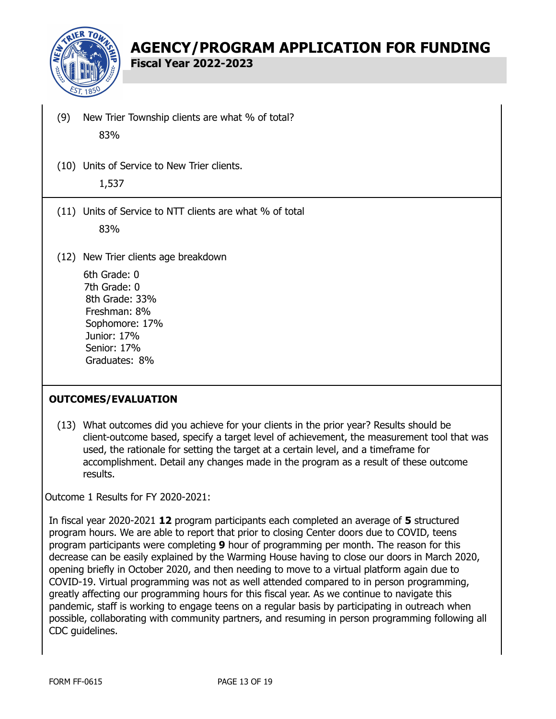

**Fiscal Year 2022-2023**

- (9) New Trier Township clients are what % of total? 83%
- (10) Units of Service to New Trier clients. 1,537
- (11) Units of Service to NTT clients are what % of total 83%
- (12) New Trier clients age breakdown

6th Grade: 0 7th Grade: 0 8th Grade: 33% Freshman: 8% Sophomore: 17% Junior: 17% Senior: 17% Graduates: 8%

### **OUTCOMES/EVALUATION**

(13) What outcomes did you achieve for your clients in the prior year? Results should be client-outcome based, specify a target level of achievement, the measurement tool that was used, the rationale for setting the target at a certain level, and a timeframe for accomplishment. Detail any changes made in the program as a result of these outcome results.

Outcome 1 Results for FY 2020-2021:

In fiscal year 2020-2021 **12** program participants each completed an average of **5** structured program hours. We are able to report that prior to closing Center doors due to COVID, teens program participants were completing **9** hour of programming per month. The reason for this decrease can be easily explained by the Warming House having to close our doors in March 2020, opening briefly in October 2020, and then needing to move to a virtual platform again due to COVID-19. Virtual programming was not as well attended compared to in person programming, greatly affecting our programming hours for this fiscal year. As we continue to navigate this pandemic, staff is working to engage teens on a regular basis by participating in outreach when possible, collaborating with community partners, and resuming in person programming following all CDC guidelines.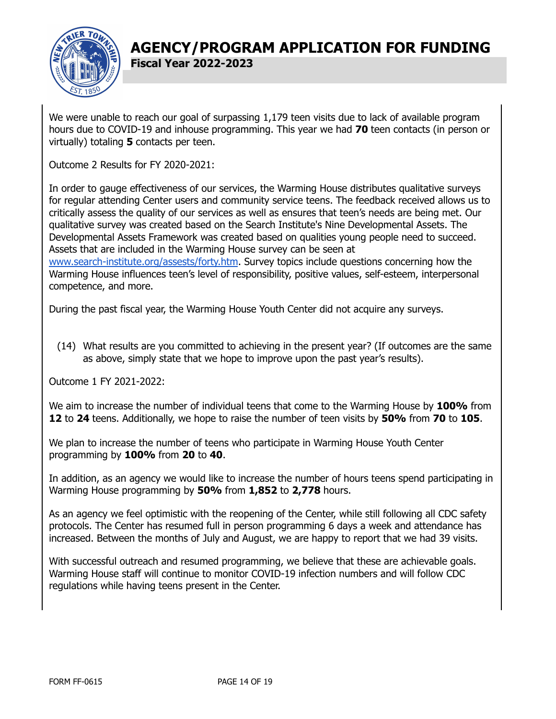

We were unable to reach our goal of surpassing 1,179 teen visits due to lack of available program hours due to COVID-19 and inhouse programming. This year we had **70** teen contacts (in person or virtually) totaling **5** contacts per teen.

Outcome 2 Results for FY 2020-2021:

In order to gauge effectiveness of our services, the Warming House distributes qualitative surveys for regular attending Center users and community service teens. The feedback received allows us to critically assess the quality of our services as well as ensures that teen's needs are being met. Our qualitative survey was created based on the Search Institute's Nine Developmental Assets. The Developmental Assets Framework was created based on qualities young people need to succeed. Assets that are included in the Warming House survey can be seen at [www.search-institute.org/assests/forty.htm](http://www.search-institute.org/assests/forty.htm). Survey topics include questions concerning how the Warming House influences teen's level of responsibility, positive values, self-esteem, interpersonal competence, and more.

During the past fiscal year, the Warming House Youth Center did not acquire any surveys.

(14) What results are you committed to achieving in the present year? (If outcomes are the same as above, simply state that we hope to improve upon the past year's results).

Outcome 1 FY 2021-2022:

We aim to increase the number of individual teens that come to the Warming House by **100%** from **12** to **24** teens. Additionally, we hope to raise the number of teen visits by **50%** from **70** to **105**.

We plan to increase the number of teens who participate in Warming House Youth Center programming by **100%** from **20** to **40**.

In addition, as an agency we would like to increase the number of hours teens spend participating in Warming House programming by **50%** from **1,852** to **2,778** hours.

As an agency we feel optimistic with the reopening of the Center, while still following all CDC safety protocols. The Center has resumed full in person programming 6 days a week and attendance has increased. Between the months of July and August, we are happy to report that we had 39 visits.

With successful outreach and resumed programming, we believe that these are achievable goals. Warming House staff will continue to monitor COVID-19 infection numbers and will follow CDC regulations while having teens present in the Center.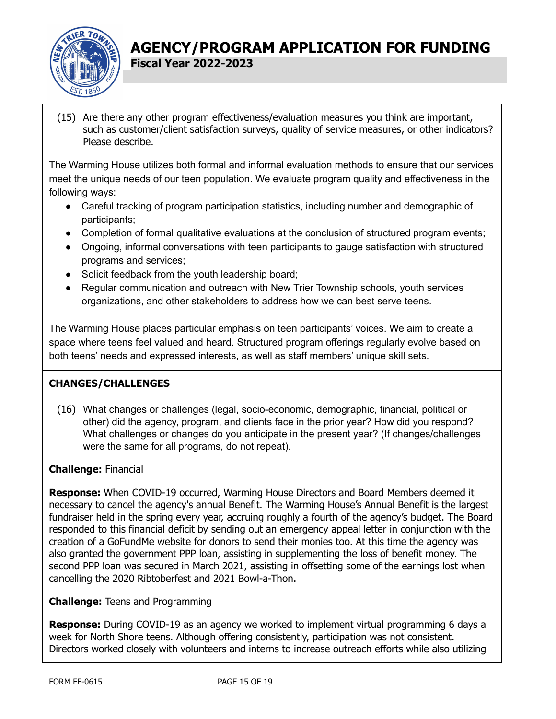

(15) Are there any other program effectiveness/evaluation measures you think are important, such as customer/client satisfaction surveys, quality of service measures, or other indicators? Please describe.

The Warming House utilizes both formal and informal evaluation methods to ensure that our services meet the unique needs of our teen population. We evaluate program quality and effectiveness in the following ways:

- Careful tracking of program participation statistics, including number and demographic of participants;
- Completion of formal qualitative evaluations at the conclusion of structured program events;
- Ongoing, informal conversations with teen participants to gauge satisfaction with structured programs and services;
- Solicit feedback from the youth leadership board;
- Regular communication and outreach with New Trier Township schools, youth services organizations, and other stakeholders to address how we can best serve teens.

The Warming House places particular emphasis on teen participants' voices. We aim to create a space where teens feel valued and heard. Structured program offerings regularly evolve based on both teens' needs and expressed interests, as well as staff members' unique skill sets.

### **CHANGES/CHALLENGES**

(16) What changes or challenges (legal, socio-economic, demographic, financial, political or other) did the agency, program, and clients face in the prior year? How did you respond? What challenges or changes do you anticipate in the present year? (If changes/challenges were the same for all programs, do not repeat).

### **Challenge:** Financial

**Response:** When COVID-19 occurred, Warming House Directors and Board Members deemed it necessary to cancel the agency's annual Benefit. The Warming House's Annual Benefit is the largest fundraiser held in the spring every year, accruing roughly a fourth of the agency's budget. The Board responded to this financial deficit by sending out an emergency appeal letter in conjunction with the creation of a GoFundMe website for donors to send their monies too. At this time the agency was also granted the government PPP loan, assisting in supplementing the loss of benefit money. The second PPP loan was secured in March 2021, assisting in offsetting some of the earnings lost when cancelling the 2020 Ribtoberfest and 2021 Bowl-a-Thon.

### **Challenge:** Teens and Programming

**Response:** During COVID-19 as an agency we worked to implement virtual programming 6 days a week for North Shore teens. Although offering consistently, participation was not consistent. Directors worked closely with volunteers and interns to increase outreach efforts while also utilizing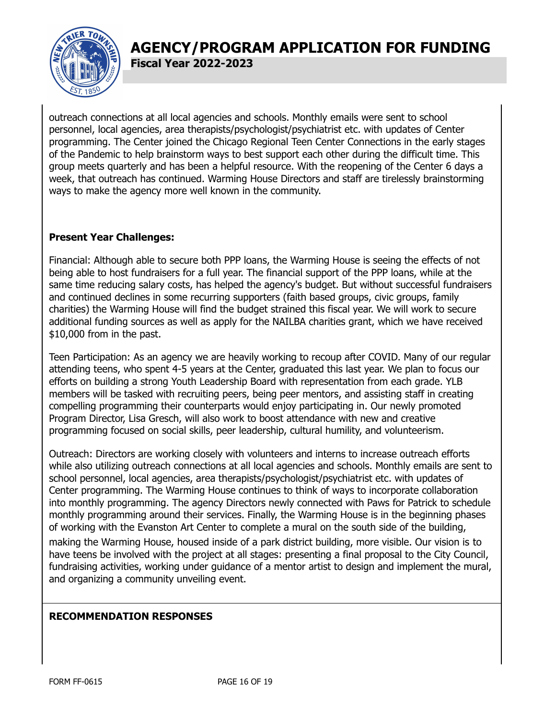

**Fiscal Year 2022-2023**

outreach connections at all local agencies and schools. Monthly emails were sent to school personnel, local agencies, area therapists/psychologist/psychiatrist etc. with updates of Center programming. The Center joined the Chicago Regional Teen Center Connections in the early stages of the Pandemic to help brainstorm ways to best support each other during the difficult time. This group meets quarterly and has been a helpful resource. With the reopening of the Center 6 days a week, that outreach has continued. Warming House Directors and staff are tirelessly brainstorming ways to make the agency more well known in the community.

### **Present Year Challenges:**

Financial: Although able to secure both PPP loans, the Warming House is seeing the effects of not being able to host fundraisers for a full year. The financial support of the PPP loans, while at the same time reducing salary costs, has helped the agency's budget. But without successful fundraisers and continued declines in some recurring supporters (faith based groups, civic groups, family charities) the Warming House will find the budget strained this fiscal year. We will work to secure additional funding sources as well as apply for the NAILBA charities grant, which we have received \$10,000 from in the past.

Teen Participation: As an agency we are heavily working to recoup after COVID. Many of our regular attending teens, who spent 4-5 years at the Center, graduated this last year. We plan to focus our efforts on building a strong Youth Leadership Board with representation from each grade. YLB members will be tasked with recruiting peers, being peer mentors, and assisting staff in creating compelling programming their counterparts would enjoy participating in. Our newly promoted Program Director, Lisa Gresch, will also work to boost attendance with new and creative programming focused on social skills, peer leadership, cultural humility, and volunteerism.

Outreach: Directors are working closely with volunteers and interns to increase outreach efforts while also utilizing outreach connections at all local agencies and schools. Monthly emails are sent to school personnel, local agencies, area therapists/psychologist/psychiatrist etc. with updates of Center programming. The Warming House continues to think of ways to incorporate collaboration into monthly programming. The agency Directors newly connected with Paws for Patrick to schedule monthly programming around their services. Finally, the Warming House is in the beginning phases of working with the Evanston Art Center to complete a mural on the south side of the building,

making the Warming House, housed inside of a park district building, more visible. Our vision is to have teens be involved with the project at all stages: presenting a final proposal to the City Council, fundraising activities, working under guidance of a mentor artist to design and implement the mural, and organizing a community unveiling event.

### **RECOMMENDATION RESPONSES**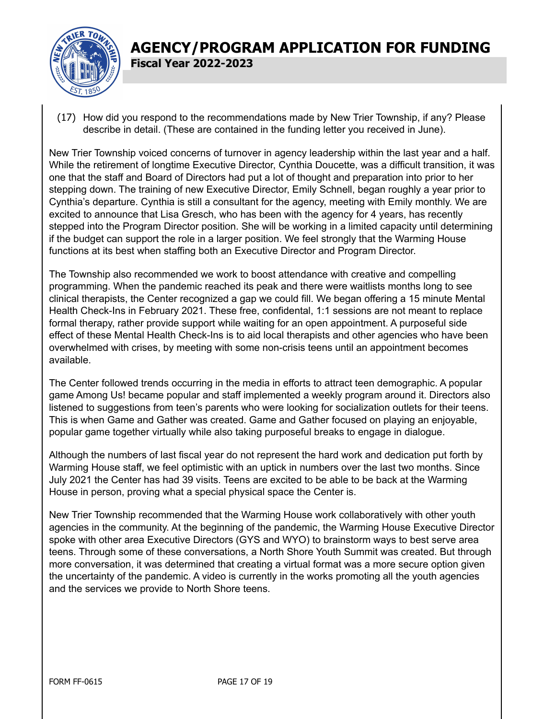

(17) How did you respond to the recommendations made by New Trier Township, if any? Please describe in detail. (These are contained in the funding letter you received in June).

New Trier Township voiced concerns of turnover in agency leadership within the last year and a half. While the retirement of longtime Executive Director, Cynthia Doucette, was a difficult transition, it was one that the staff and Board of Directors had put a lot of thought and preparation into prior to her stepping down. The training of new Executive Director, Emily Schnell, began roughly a year prior to Cynthia's departure. Cynthia is still a consultant for the agency, meeting with Emily monthly. We are excited to announce that Lisa Gresch, who has been with the agency for 4 years, has recently stepped into the Program Director position. She will be working in a limited capacity until determining if the budget can support the role in a larger position. We feel strongly that the Warming House functions at its best when staffing both an Executive Director and Program Director.

The Township also recommended we work to boost attendance with creative and compelling programming. When the pandemic reached its peak and there were waitlists months long to see clinical therapists, the Center recognized a gap we could fill. We began offering a 15 minute Mental Health Check-Ins in February 2021. These free, confidental, 1:1 sessions are not meant to replace formal therapy, rather provide support while waiting for an open appointment. A purposeful side effect of these Mental Health Check-Ins is to aid local therapists and other agencies who have been overwhelmed with crises, by meeting with some non-crisis teens until an appointment becomes available.

The Center followed trends occurring in the media in efforts to attract teen demographic. A popular game Among Us! became popular and staff implemented a weekly program around it. Directors also listened to suggestions from teen's parents who were looking for socialization outlets for their teens. This is when Game and Gather was created. Game and Gather focused on playing an enjoyable, popular game together virtually while also taking purposeful breaks to engage in dialogue.

Although the numbers of last fiscal year do not represent the hard work and dedication put forth by Warming House staff, we feel optimistic with an uptick in numbers over the last two months. Since July 2021 the Center has had 39 visits. Teens are excited to be able to be back at the Warming House in person, proving what a special physical space the Center is.

New Trier Township recommended that the Warming House work collaboratively with other youth agencies in the community. At the beginning of the pandemic, the Warming House Executive Director spoke with other area Executive Directors (GYS and WYO) to brainstorm ways to best serve area teens. Through some of these conversations, a North Shore Youth Summit was created. But through more conversation, it was determined that creating a virtual format was a more secure option given the uncertainty of the pandemic. A video is currently in the works promoting all the youth agencies and the services we provide to North Shore teens.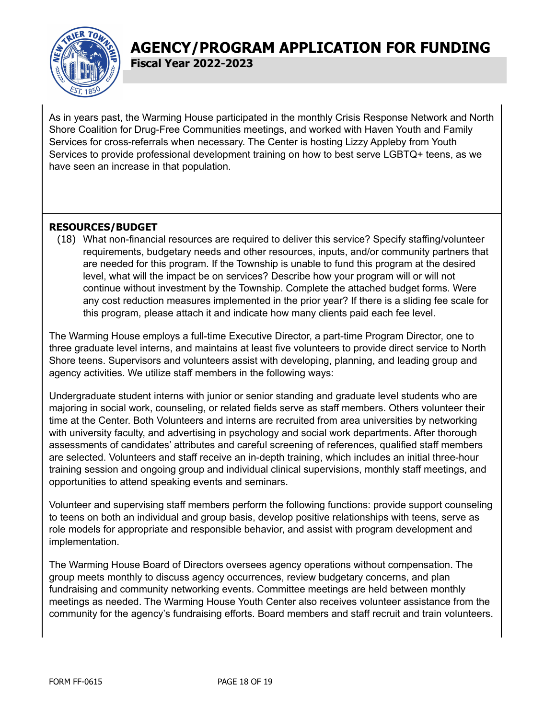

**Fiscal Year 2022-2023**

As in years past, the Warming House participated in the monthly Crisis Response Network and North Shore Coalition for Drug-Free Communities meetings, and worked with Haven Youth and Family Services for cross-referrals when necessary. The Center is hosting Lizzy Appleby from Youth Services to provide professional development training on how to best serve LGBTQ+ teens, as we have seen an increase in that population.

### **RESOURCES/BUDGET**

(18) What non-financial resources are required to deliver this service? Specify staffing/volunteer requirements, budgetary needs and other resources, inputs, and/or community partners that are needed for this program. If the Township is unable to fund this program at the desired level, what will the impact be on services? Describe how your program will or will not continue without investment by the Township. Complete the attached budget forms. Were any cost reduction measures implemented in the prior year? If there is a sliding fee scale for this program, please attach it and indicate how many clients paid each fee level.

The Warming House employs a full-time Executive Director, a part-time Program Director, one to three graduate level interns, and maintains at least five volunteers to provide direct service to North Shore teens. Supervisors and volunteers assist with developing, planning, and leading group and agency activities. We utilize staff members in the following ways:

Undergraduate student interns with junior or senior standing and graduate level students who are majoring in social work, counseling, or related fields serve as staff members. Others volunteer their time at the Center. Both Volunteers and interns are recruited from area universities by networking with university faculty, and advertising in psychology and social work departments. After thorough assessments of candidates' attributes and careful screening of references, qualified staff members are selected. Volunteers and staff receive an in-depth training, which includes an initial three-hour training session and ongoing group and individual clinical supervisions, monthly staff meetings, and opportunities to attend speaking events and seminars.

Volunteer and supervising staff members perform the following functions: provide support counseling to teens on both an individual and group basis, develop positive relationships with teens, serve as role models for appropriate and responsible behavior, and assist with program development and implementation.

The Warming House Board of Directors oversees agency operations without compensation. The group meets monthly to discuss agency occurrences, review budgetary concerns, and plan fundraising and community networking events. Committee meetings are held between monthly meetings as needed. The Warming House Youth Center also receives volunteer assistance from the community for the agency's fundraising efforts. Board members and staff recruit and train volunteers.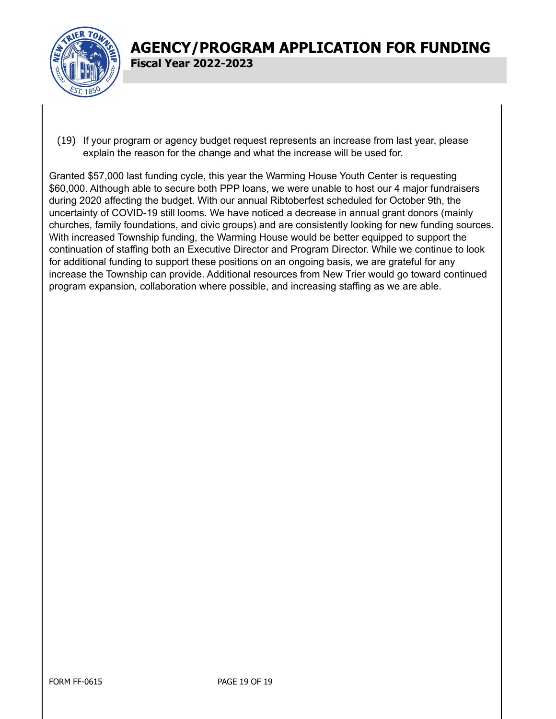

(19) If your program or agency budget request represents an increase from last year, please explain the reason for the change and what the increase will be used for.

Granted \$57,000 last funding cycle, this year the Warming House Youth Center is requesting \$60,000. Although able to secure both PPP loans, we were unable to host our 4 major fundraisers during 2020 affecting the budget. With our annual Ribtoberfest scheduled for October 9th, the uncertainty of COVID-19 still looms. We have noticed a decrease in annual grant donors (mainly churches, family foundations, and civic groups) and are consistently looking for new funding sources. With increased Township funding, the Warming House would be better equipped to support the continuation of staffing both an Executive Director and Program Director. While we continue to look for additional funding to support these positions on an ongoing basis, we are grateful for any increase the Township can provide. Additional resources from New Trier would go toward continued program expansion, collaboration where possible, and increasing staffing as we are able.